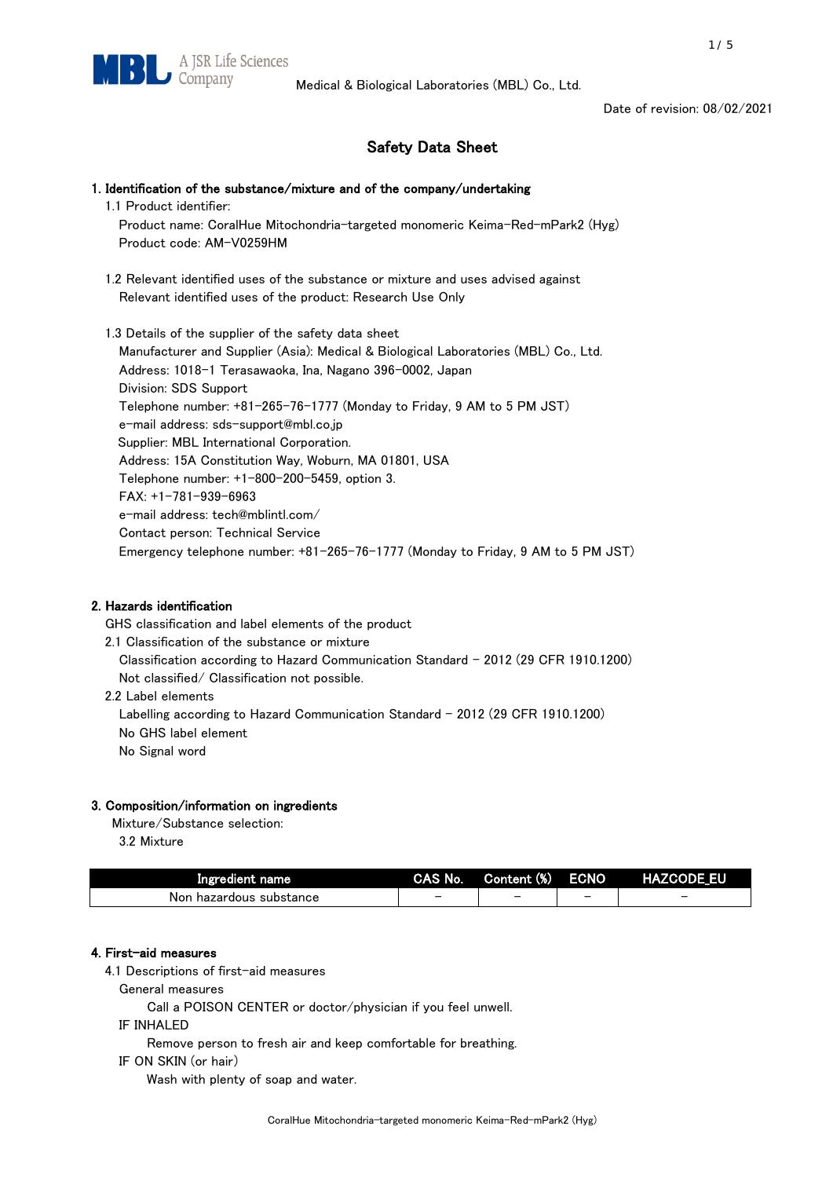Date of revision: 08/02/2021

# Safety Data Sheet

# 1. Identification of the substance/mixture and of the company/undertaking

1.1 Product identifier:

 Product name: CoralHue Mitochondria-targeted monomeric Keima-Red-mPark2 (Hyg) Product code: AM-V0259HM

 1.2 Relevant identified uses of the substance or mixture and uses advised against Relevant identified uses of the product: Research Use Only

 1.3 Details of the supplier of the safety data sheet Manufacturer and Supplier (Asia): Medical & Biological Laboratories (MBL) Co., Ltd. Address: 1018-1 Terasawaoka, Ina, Nagano 396-0002, Japan Division: SDS Support Telephone number: +81-265-76-1777 (Monday to Friday, 9 AM to 5 PM JST) e-mail address: sds-support@mbl.co.jp Supplier: MBL International Corporation. Address: 15A Constitution Way, Woburn, MA 01801, USA Telephone number: +1-800-200-5459, option 3. FAX: +1-781-939-6963 e-mail address: tech@mblintl.com/ Contact person: Technical Service Emergency telephone number: +81-265-76-1777 (Monday to Friday, 9 AM to 5 PM JST)

## 2. Hazards identification

GHS classification and label elements of the product

- 2.1 Classification of the substance or mixture Classification according to Hazard Communication Standard - 2012 (29 CFR 1910.1200) Not classified/ Classification not possible.
- 2.2 Label elements

Labelling according to Hazard Communication Standard - 2012 (29 CFR 1910.1200) No GHS label element

No Signal word

# 3. Composition/information on ingredients

Mixture/Substance selection:

3.2 Mixture

| Ingredient name            | <b>CAS No.</b> | Content (%) | <b>ECNO</b> | <b>HAZCODE EU</b> |
|----------------------------|----------------|-------------|-------------|-------------------|
| hazardous substance<br>Non | -              |             |             | -                 |

# 4. First-aid measures

4.1 Descriptions of first-aid measures

General measures

Call a POISON CENTER or doctor/physician if you feel unwell.

IF INHALED

Remove person to fresh air and keep comfortable for breathing.

IF ON SKIN (or hair)

Wash with plenty of soap and water.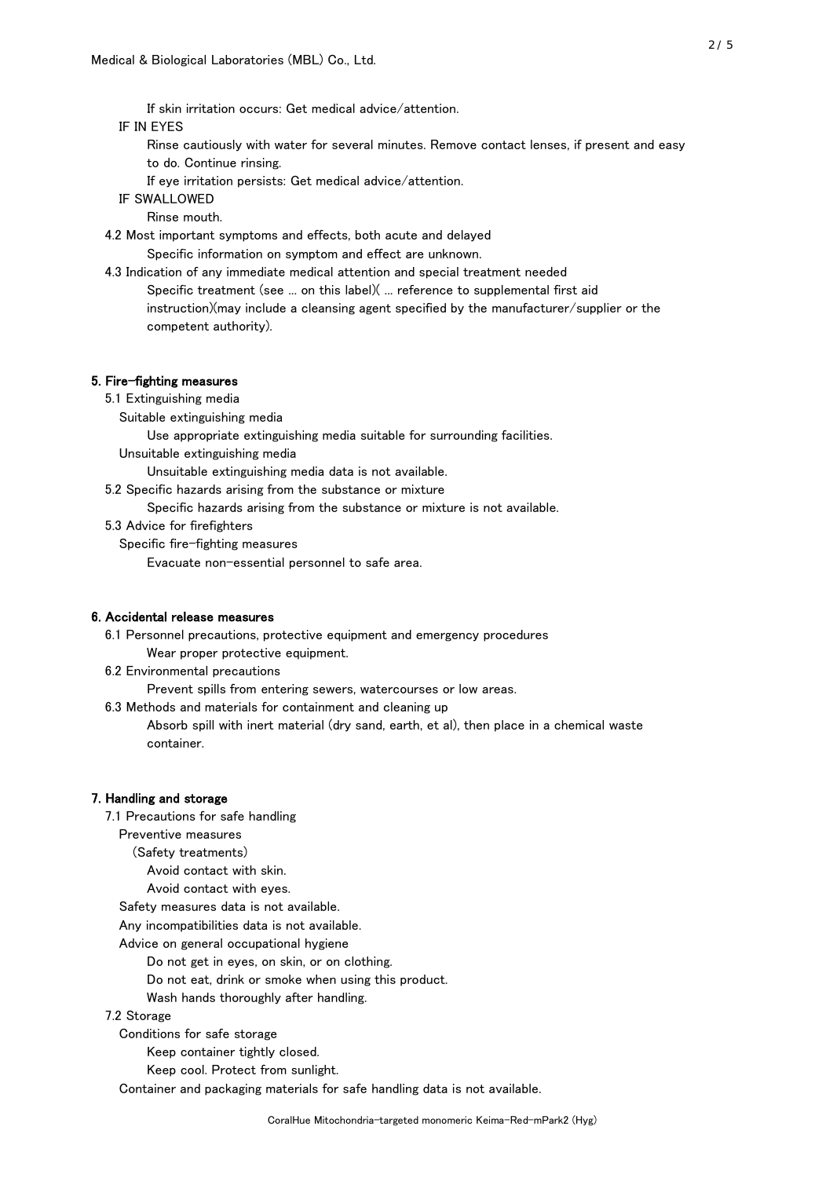If skin irritation occurs: Get medical advice/attention.

## IF IN EYES

- Rinse cautiously with water for several minutes. Remove contact lenses, if present and easy to do. Continue rinsing.
- If eye irritation persists: Get medical advice/attention.

IF SWALLOWED

Rinse mouth.

4.2 Most important symptoms and effects, both acute and delayed

Specific information on symptom and effect are unknown.

 4.3 Indication of any immediate medical attention and special treatment needed Specific treatment (see ... on this label)( ... reference to supplemental first aid instruction)(may include a cleansing agent specified by the manufacturer/supplier or the competent authority).

#### 5. Fire-fighting measures

- 5.1 Extinguishing media
	- Suitable extinguishing media

Use appropriate extinguishing media suitable for surrounding facilities.

Unsuitable extinguishing media

Unsuitable extinguishing media data is not available.

5.2 Specific hazards arising from the substance or mixture

Specific hazards arising from the substance or mixture is not available.

#### 5.3 Advice for firefighters

Specific fire-fighting measures

Evacuate non-essential personnel to safe area.

## 6. Accidental release measures

6.1 Personnel precautions, protective equipment and emergency procedures

- Wear proper protective equipment.
- 6.2 Environmental precautions

Prevent spills from entering sewers, watercourses or low areas.

6.3 Methods and materials for containment and cleaning up

 Absorb spill with inert material (dry sand, earth, et al), then place in a chemical waste container.

## 7. Handling and storage

7.1 Precautions for safe handling

Preventive measures

(Safety treatments)

Avoid contact with skin.

Avoid contact with eyes.

Safety measures data is not available.

Any incompatibilities data is not available.

Advice on general occupational hygiene

Do not get in eyes, on skin, or on clothing.

Do not eat, drink or smoke when using this product.

Wash hands thoroughly after handling.

## 7.2 Storage

Conditions for safe storage

Keep container tightly closed.

Keep cool. Protect from sunlight.

Container and packaging materials for safe handling data is not available.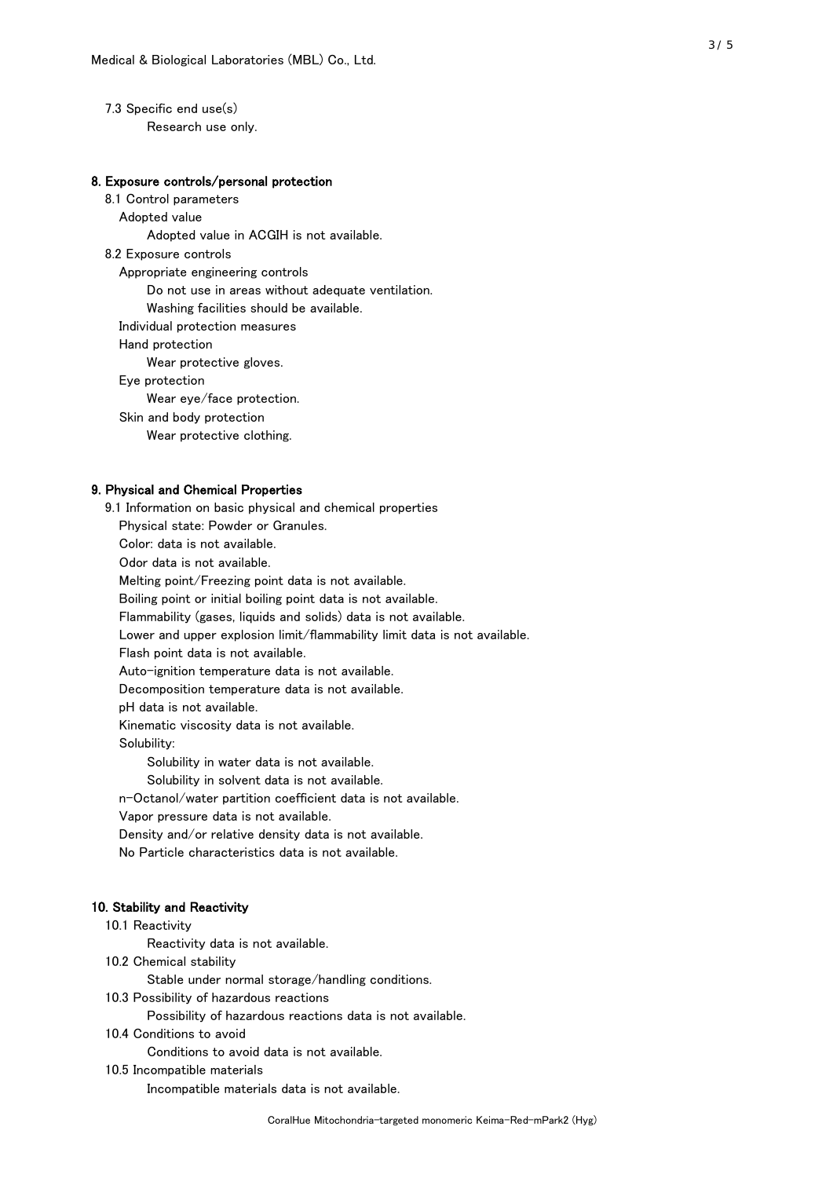7.3 Specific end use(s) Research use only.

## 8. Exposure controls/personal protection

 8.1 Control parameters Adopted value Adopted value in ACGIH is not available. 8.2 Exposure controls Appropriate engineering controls Do not use in areas without adequate ventilation. Washing facilities should be available. Individual protection measures Hand protection Wear protective gloves. Eye protection Wear eye/face protection. Skin and body protection Wear protective clothing.

### 9. Physical and Chemical Properties

 9.1 Information on basic physical and chemical properties Physical state: Powder or Granules. Color: data is not available. Odor data is not available. Melting point/Freezing point data is not available. Boiling point or initial boiling point data is not available. Flammability (gases, liquids and solids) data is not available. Lower and upper explosion limit/flammability limit data is not available. Flash point data is not available. Auto-ignition temperature data is not available. Decomposition temperature data is not available. pH data is not available. Kinematic viscosity data is not available. Solubility: Solubility in water data is not available. Solubility in solvent data is not available. n-Octanol/water partition coefficient data is not available. Vapor pressure data is not available. Density and/or relative density data is not available. No Particle characteristics data is not available.

## 10. Stability and Reactivity

### 10.1 Reactivity

Reactivity data is not available.

10.2 Chemical stability

Stable under normal storage/handling conditions.

10.3 Possibility of hazardous reactions

Possibility of hazardous reactions data is not available.

10.4 Conditions to avoid

Conditions to avoid data is not available.

10.5 Incompatible materials

Incompatible materials data is not available.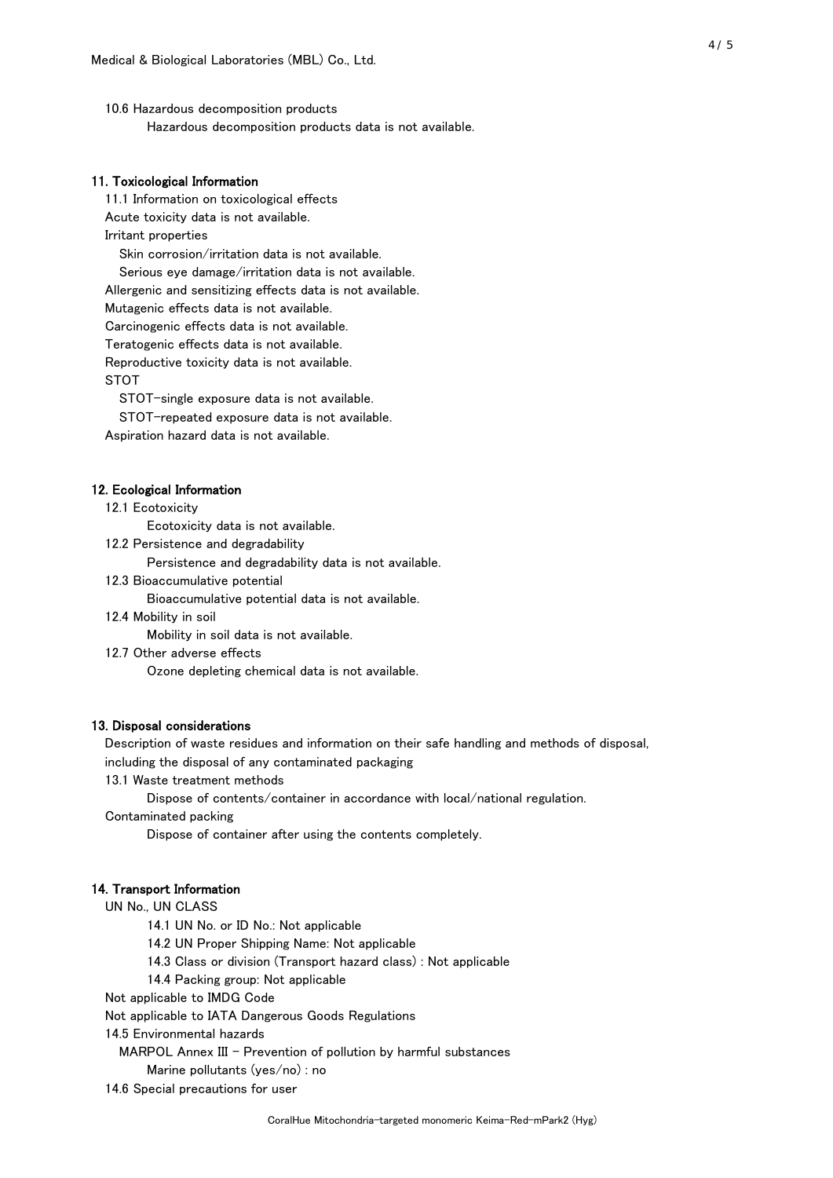10.6 Hazardous decomposition products Hazardous decomposition products data is not available.

#### 11. Toxicological Information

 11.1 Information on toxicological effects Acute toxicity data is not available. Irritant properties Skin corrosion/irritation data is not available. Serious eye damage/irritation data is not available. Allergenic and sensitizing effects data is not available. Mutagenic effects data is not available.

Carcinogenic effects data is not available.

Teratogenic effects data is not available.

Reproductive toxicity data is not available.

STOT

STOT-single exposure data is not available.

STOT-repeated exposure data is not available.

Aspiration hazard data is not available.

#### 12. Ecological Information

12.1 Ecotoxicity

Ecotoxicity data is not available.

12.2 Persistence and degradability

Persistence and degradability data is not available.

12.3 Bioaccumulative potential

Bioaccumulative potential data is not available.

12.4 Mobility in soil

Mobility in soil data is not available.

12.7 Other adverse effects

Ozone depleting chemical data is not available.

#### 13. Disposal considerations

Description of waste residues and information on their safe handling and methods of disposal,

including the disposal of any contaminated packaging

13.1 Waste treatment methods

Dispose of contents/container in accordance with local/national regulation.

Contaminated packing

Dispose of container after using the contents completely.

#### 14. Transport Information

UN No., UN CLASS

14.1 UN No. or ID No.: Not applicable

14.2 UN Proper Shipping Name: Not applicable

14.3 Class or division (Transport hazard class) : Not applicable

14.4 Packing group: Not applicable

Not applicable to IMDG Code

Not applicable to IATA Dangerous Goods Regulations

14.5 Environmental hazards

MARPOL Annex III - Prevention of pollution by harmful substances

Marine pollutants (yes/no) : no

14.6 Special precautions for user